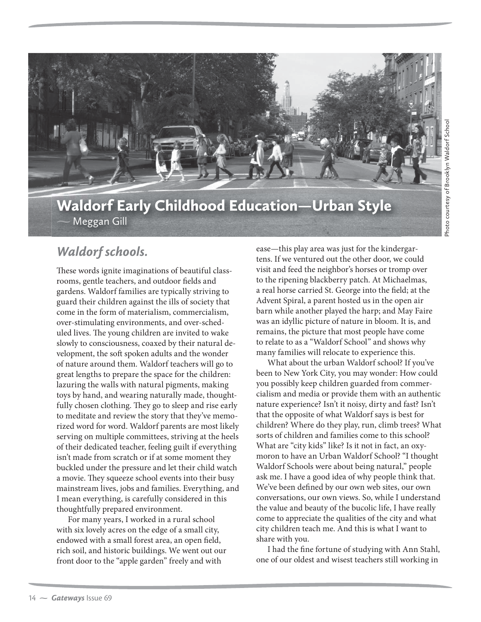

## Waldorf Early Childhood Education—Urban Style Meggan Gill

## *Waldorf schools.*

These words ignite imaginations of beautiful classrooms, gentle teachers, and outdoor fields and gardens. Waldorf families are typically striving to guard their children against the ills of society that come in the form of materialism, commercialism, over-stimulating environments, and over-scheduled lives. The young children are invited to wake slowly to consciousness, coaxed by their natural development, the soft spoken adults and the wonder of nature around them. Waldorf teachers will go to great lengths to prepare the space for the children: lazuring the walls with natural pigments, making toys by hand, and wearing naturally made, thoughtfully chosen clothing. They go to sleep and rise early to meditate and review the story that they've memorized word for word. Waldorf parents are most likely serving on multiple committees, striving at the heels of their dedicated teacher, feeling guilt if everything isn't made from scratch or if at some moment they buckled under the pressure and let their child watch a movie. They squeeze school events into their busy mainstream lives, jobs and families. Everything, and I mean everything, is carefully considered in this thoughtfully prepared environment.

For many years, I worked in a rural school with six lovely acres on the edge of a small city, endowed with a small forest area, an open field, rich soil, and historic buildings. We went out our front door to the "apple garden" freely and with

ease—this play area was just for the kindergartens. If we ventured out the other door, we could visit and feed the neighbor's horses or tromp over to the ripening blackberry patch. At Michaelmas, a real horse carried St. George into the field; at the Advent Spiral, a parent hosted us in the open air barn while another played the harp; and May Faire was an idyllic picture of nature in bloom. It is, and remains, the picture that most people have come to relate to as a "Waldorf School" and shows why many families will relocate to experience this.

What about the urban Waldorf school? If you've been to New York City, you may wonder: How could you possibly keep children guarded from commercialism and media or provide them with an authentic nature experience? Isn't it noisy, dirty and fast? Isn't that the opposite of what Waldorf says is best for children? Where do they play, run, climb trees? What sorts of children and families come to this school? What are "city kids" like? Is it not in fact, an oxymoron to have an Urban Waldorf School? "I thought Waldorf Schools were about being natural," people ask me. I have a good idea of why people think that. We've been defined by our own web sites, our own conversations, our own views. So, while I understand the value and beauty of the bucolic life, I have really come to appreciate the qualities of the city and what city children teach me. And this is what I want to share with you.

I had the fine fortune of studying with Ann Stahl, one of our oldest and wisest teachers still working in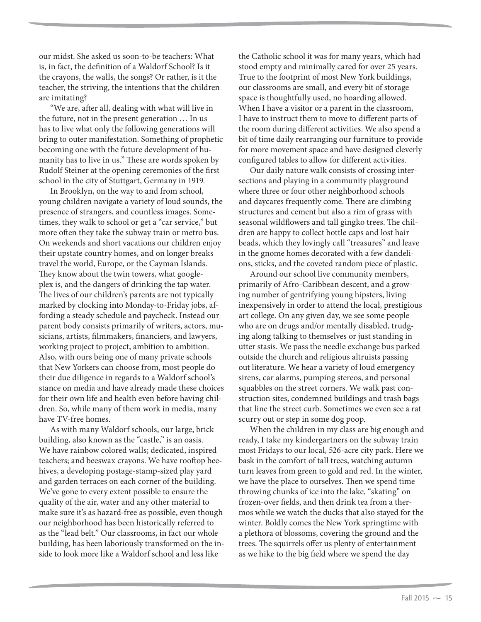our midst. She asked us soon-to-be teachers: What is, in fact, the definition of a Waldorf School? Is it the crayons, the walls, the songs? Or rather, is it the teacher, the striving, the intentions that the children are imitating?

"We are, after all, dealing with what will live in the future, not in the present generation … In us has to live what only the following generations will bring to outer manifestation. Something of prophetic becoming one with the future development of humanity has to live in us." These are words spoken by Rudolf Steiner at the opening ceremonies of the first school in the city of Stuttgart, Germany in 1919.

In Brooklyn, on the way to and from school, young children navigate a variety of loud sounds, the presence of strangers, and countless images. Sometimes, they walk to school or get a "car service," but more often they take the subway train or metro bus. On weekends and short vacations our children enjoy their upstate country homes, and on longer breaks travel the world, Europe, or the Cayman Islands. They know about the twin towers, what googleplex is, and the dangers of drinking the tap water. The lives of our children's parents are not typically marked by clocking into Monday-to-Friday jobs, affording a steady schedule and paycheck. Instead our parent body consists primarily of writers, actors, musicians, artists, filmmakers, financiers, and lawyers, working project to project, ambition to ambition. Also, with ours being one of many private schools that New Yorkers can choose from, most people do their due diligence in regards to a Waldorf school's stance on media and have already made these choices for their own life and health even before having children. So, while many of them work in media, many have TV-free homes.

As with many Waldorf schools, our large, brick building, also known as the "castle," is an oasis. We have rainbow colored walls; dedicated, inspired teachers; and beeswax crayons. We have rooftop beehives, a developing postage-stamp-sized play yard and garden terraces on each corner of the building. We've gone to every extent possible to ensure the quality of the air, water and any other material to make sure it's as hazard-free as possible, even though our neighborhood has been historically referred to as the "lead belt." Our classrooms, in fact our whole building, has been laboriously transformed on the inside to look more like a Waldorf school and less like

the Catholic school it was for many years, which had stood empty and minimally cared for over 25 years. True to the footprint of most New York buildings, our classrooms are small, and every bit of storage space is thoughtfully used, no hoarding allowed. When I have a visitor or a parent in the classroom, I have to instruct them to move to different parts of the room during different activities. We also spend a bit of time daily rearranging our furniture to provide for more movement space and have designed cleverly configured tables to allow for different activities.

Our daily nature walk consists of crossing intersections and playing in a community playground where three or four other neighborhood schools and daycares frequently come. There are climbing structures and cement but also a rim of grass with seasonal wildflowers and tall gingko trees. The children are happy to collect bottle caps and lost hair beads, which they lovingly call "treasures" and leave in the gnome homes decorated with a few dandelions, sticks, and the coveted random piece of plastic.

Around our school live community members, primarily of Afro-Caribbean descent, and a growing number of gentrifying young hipsters, living inexpensively in order to attend the local, prestigious art college. On any given day, we see some people who are on drugs and/or mentally disabled, trudging along talking to themselves or just standing in utter stasis. We pass the needle exchange bus parked outside the church and religious altruists passing out literature. We hear a variety of loud emergency sirens, car alarms, pumping stereos, and personal squabbles on the street corners. We walk past construction sites, condemned buildings and trash bags that line the street curb. Sometimes we even see a rat scurry out or step in some dog poop.

When the children in my class are big enough and ready, I take my kindergartners on the subway train most Fridays to our local, 526-acre city park. Here we bask in the comfort of tall trees, watching autumn turn leaves from green to gold and red. In the winter, we have the place to ourselves. Then we spend time throwing chunks of ice into the lake, "skating" on frozen-over fields, and then drink tea from a thermos while we watch the ducks that also stayed for the winter. Boldly comes the New York springtime with a plethora of blossoms, covering the ground and the trees. The squirrels offer us plenty of entertainment as we hike to the big field where we spend the day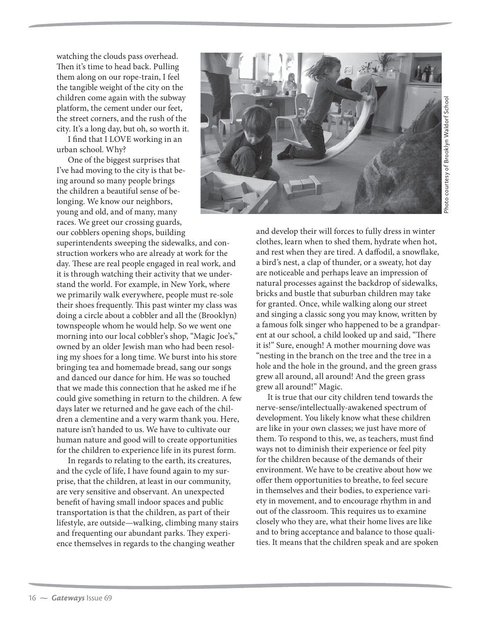watching the clouds pass overhead. Then it's time to head back. Pulling them along on our rope-train, I feel the tangible weight of the city on the children come again with the subway platform, the cement under our feet, the street corners, and the rush of the city. It's a long day, but oh, so worth it.

I find that I LOVE working in an urban school. Why?

One of the biggest surprises that I've had moving to the city is that being around so many people brings the children a beautiful sense of belonging. We know our neighbors, young and old, and of many, many races. We greet our crossing guards, our cobblers opening shops, building

superintendents sweeping the sidewalks, and construction workers who are already at work for the day. These are real people engaged in real work, and it is through watching their activity that we understand the world. For example, in New York, where we primarily walk everywhere, people must re-sole their shoes frequently. This past winter my class was doing a circle about a cobbler and all the (Brooklyn) townspeople whom he would help. So we went one morning into our local cobbler's shop, "Magic Joe's," owned by an older Jewish man who had been resoling my shoes for a long time. We burst into his store bringing tea and homemade bread, sang our songs and danced our dance for him. He was so touched that we made this connection that he asked me if he could give something in return to the children. A few days later we returned and he gave each of the children a clementine and a very warm thank you. Here, nature isn't handed to us. We have to cultivate our human nature and good will to create opportunities for the children to experience life in its purest form.

In regards to relating to the earth, its creatures, and the cycle of life, I have found again to my surprise, that the children, at least in our community, are very sensitive and observant. An unexpected benefit of having small indoor spaces and public transportation is that the children, as part of their lifestyle, are outside—walking, climbing many stairs and frequenting our abundant parks. They experience themselves in regards to the changing weather



and develop their will forces to fully dress in winter clothes, learn when to shed them, hydrate when hot, and rest when they are tired. A daffodil, a snowflake, a bird's nest, a clap of thunder, or a sweaty, hot day are noticeable and perhaps leave an impression of natural processes against the backdrop of sidewalks, bricks and bustle that suburban children may take for granted. Once, while walking along our street and singing a classic song you may know, written by a famous folk singer who happened to be a grandparent at our school, a child looked up and said, "There it is!" Sure, enough! A mother mourning dove was "nesting in the branch on the tree and the tree in a hole and the hole in the ground, and the green grass grew all around, all around! And the green grass grew all around!" Magic.

It is true that our city children tend towards the nerve-sense/intellectually-awakened spectrum of development. You likely know what these children are like in your own classes; we just have more of them. To respond to this, we, as teachers, must find ways not to diminish their experience or feel pity for the children because of the demands of their environment. We have to be creative about how we offer them opportunities to breathe, to feel secure in themselves and their bodies, to experience variety in movement, and to encourage rhythm in and out of the classroom. This requires us to examine closely who they are, what their home lives are like and to bring acceptance and balance to those qualities. It means that the children speak and are spoken